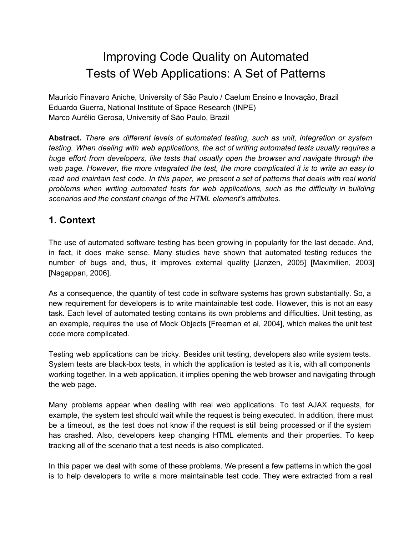# Improving Code Quality on Automated Tests of Web Applications: A Set of Patterns

Maurício Finavaro Aniche, University of São Paulo / Caelum Ensino e Inovação, Brazil Eduardo Guerra, National Institute of Space Research (INPE) Marco Aurélio Gerosa, University of São Paulo, Brazil

**Abstract.** *There are different levels of automated testing, such as unit, integration or system testing. When dealing with web applications, the act of writing automated tests usually requires a huge effort from developers, like tests that usually open the browser and navigate through the web page. However, the more integrated the test, the more complicated it is to write an easy to* read and maintain test code. In this paper, we present a set of patterns that deals with real world *problems when writing automated tests for web applications, such as the difficulty in building scenarios and the constant change of the HTML element's attributes.*

### **1. Context**

The use of automated software testing has been growing in popularity for the last decade. And, in fact, it does make sense. Many studies have shown that automated testing reduces the number of bugs and, thus, it improves external quality [Janzen, 2005] [Maximilien, 2003] [Nagappan, 2006].

As a consequence, the quantity of test code in software systems has grown substantially. So, a new requirement for developers is to write maintainable test code. However, this is not an easy task. Each level of automated testing contains its own problems and difficulties. Unit testing, as an example, requires the use of Mock Objects [Freeman et al, 2004], which makes the unit test code more complicated.

Testing web applications can be tricky. Besides unit testing, developers also write system tests. System tests are black-box tests, in which the application is tested as it is, with all components working together. In a web application, it implies opening the web browser and navigating through the web page.

Many problems appear when dealing with real web applications. To test AJAX requests, for example, the system test should wait while the request is being executed. In addition, there must be a timeout, as the test does not know if the request is still being processed or if the system has crashed. Also, developers keep changing HTML elements and their properties. To keep tracking all of the scenario that a test needs is also complicated.

In this paper we deal with some of these problems. We present a few patterns in which the goal is to help developers to write a more maintainable test code. They were extracted from a real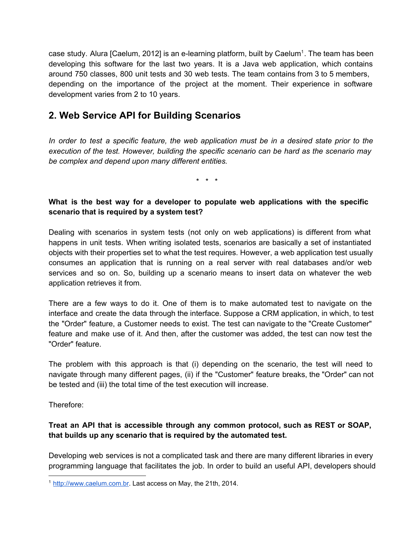case study. Alura [Caelum, 2012] is an e-learning platform, built by Caelum<sup>1</sup>. The team has been developing this software for the last two years. It is a Java web application, which contains around 750 classes, 800 unit tests and 30 web tests. The team contains from 3 to 5 members, depending on the importance of the project at the moment. Their experience in software development varies from 2 to 10 years.

### **2. Web Service API for Building Scenarios**

In order to test a specific feature, the web application must be in a desired state prior to the *execution of the test. However, building the specific scenario can be hard as the scenario may be complex and depend upon many different entities.*

\* \* \*

#### **What is the best way for a developer to populate web applications with the specific scenario that is required by a system test?**

Dealing with scenarios in system tests (not only on web applications) is different from what happens in unit tests. When writing isolated tests, scenarios are basically a set of instantiated objects with their properties set to what the test requires. However, a web application test usually consumes an application that is running on a real server with real databases and/or web services and so on. So, building up a scenario means to insert data on whatever the web application retrieves it from.

There are a few ways to do it. One of them is to make automated test to navigate on the interface and create the data through the interface. Suppose a CRM application, in which, to test the "Order" feature, a Customer needs to exist. The test can navigate to the "Create Customer" feature and make use of it. And then, after the customer was added, the test can now test the "Order" feature.

The problem with this approach is that (i) depending on the scenario, the test will need to navigate through many different pages, (ii) if the "Customer" feature breaks, the "Order" can not be tested and (iii) the total time of the test execution will increase.

Therefore:

#### **Treat an API that is accessible through any common protocol, such as REST or SOAP, that builds up any scenario that is required by the automated test.**

Developing web services is not a complicated task and there are many different libraries in every programming language that facilitates the job. In order to build an useful API, developers should

<sup>&</sup>lt;sup>1</sup> [http://www.caelum.com.br.](http://www.google.com/url?q=http%3A%2F%2Fwww.caelum.com.br&sa=D&sntz=1&usg=AFQjCNHt4Qy4DA72HmJe7hw8WFU7E88vVA) Last access on May, the 21th, 2014.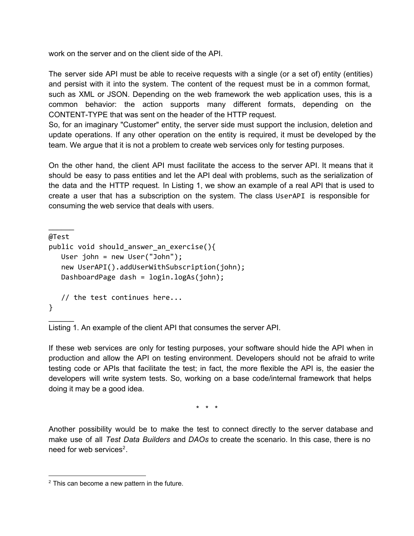work on the server and on the client side of the API.

The server side API must be able to receive requests with a single (or a set of) entity (entities) and persist with it into the system. The content of the request must be in a common format, such as XML or JSON. Depending on the web framework the web application uses, this is a common behavior: the action supports many different formats, depending on the CONTENT-TYPE that was sent on the header of the HTTP request.

So, for an imaginary "Customer" entity, the server side must support the inclusion, deletion and update operations. If any other operation on the entity is required, it must be developed by the team. We argue that it is not a problem to create web services only for testing purposes.

On the other hand, the client API must facilitate the access to the server API. It means that it should be easy to pass entities and let the API deal with problems, such as the serialization of the data and the HTTP request. In Listing 1, we show an example of a real API that is used to create a user that has a subscription on the system. The class UserAPI is responsible for consuming the web service that deals with users.

```
\frac{1}{2}@Test
public void should_answer_an_exercise(){
   User john = new User("John");
   new UserAPI().addUserWithSubscription(john);
   DashboardPage dash = login.logAs(john);
  // the test continues here...
}
```
Listing 1. An example of the client API that consumes the server API.

If these web services are only for testing purposes, your software should hide the API when in production and allow the API on testing environment. Developers should not be afraid to write testing code or APIs that facilitate the test; in fact, the more flexible the API is, the easier the developers will write system tests. So, working on a base code/internal framework that helps doing it may be a good idea.

\* \* \*

Another possibility would be to make the test to connect directly to the server database and make use of all *Test Data Builders* and *DAOs* to create the scenario. In this case, there is no need for web services $2$ .

 $\frac{1}{2}$ 

 $2$  This can become a new pattern in the future.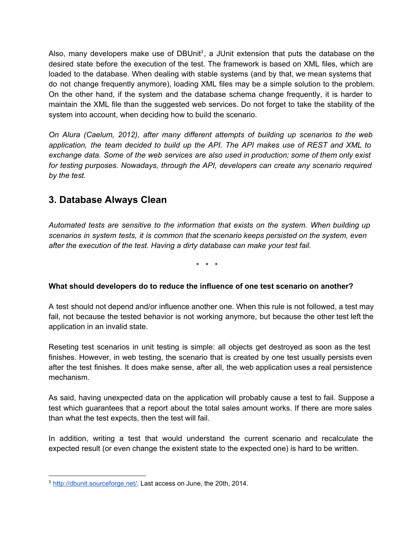Also, many developers make use of DBUnit<sup>3</sup>, a JUnit extension that puts the database on the desired state before the execution of the test. The framework is based on XML files, which are loaded to the database. When dealing with stable systems (and by that, we mean systems that do not change frequently anymore), loading XML files may be a simple solution to the problem. On the other hand, if the system and the database schema change frequently, it is harder to maintain the XML file than the suggested web services. Do not forget to take the stability of the system into account, when deciding how to build the scenario.

*On Alura (Caelum, 2012), after many different attempts of building up scenarios to the web application, the team decided to build up the API. The API makes use of REST and XML to exchange data. Some of the web services are also used in production; some of them only exist for testing purposes. Nowadays, through the API, developers can create any scenario required by the test.*

### **3. Database Always Clean**

*Automated tests are sensitive to the information that exists on the system. When building up scenarios in system tests, it is common that the scenario keeps persisted on the system, even after the execution of the test. Having a dirty database can make your test fail.*

\* \* \*

#### **What should developers do to reduce the influence of one test scenario on another?**

A test should not depend and/or influence another one. When this rule is not followed, a test may fail, not because the tested behavior is not working anymore, but because the other test left the application in an invalid state.

Reseting test scenarios in unit testing is simple: all objects get destroyed as soon as the test finishes. However, in web testing, the scenario that is created by one test usually persists even after the test finishes. It does make sense, after all, the web application uses a real persistence mechanism.

As said, having unexpected data on the application will probably cause a test to fail. Suppose a test which guarantees that a report about the total sales amount works. If there are more sales than what the test expects, then the test will fail.

In addition, writing a test that would understand the current scenario and recalculate the expected result (or even change the existent state to the expected one) is hard to be written.

<sup>3</sup> [http://dbunit.sourceforge.net/.](http://www.google.com/url?q=http%3A%2F%2Fdbunit.sourceforge.net%2F&sa=D&sntz=1&usg=AFQjCNENqi6SXC3l44qtK5f4jOaMPFDD2A) Last access on June, the 20th, 2014.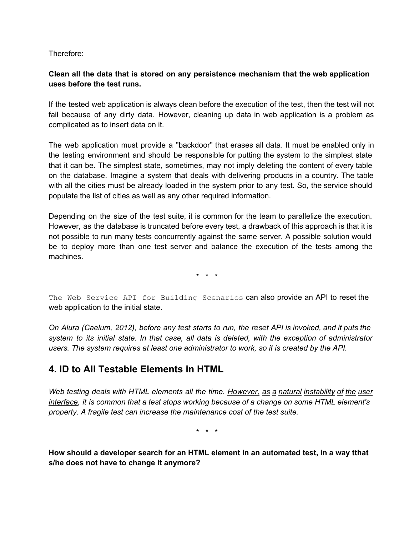Therefore:

#### **Clean all the data that is stored on any persistence mechanism that the web application uses before the test runs.**

If the tested web application is always clean before the execution of the test, then the test will not fail because of any dirty data. However, cleaning up data in web application is a problem as complicated as to insert data on it.

The web application must provide a "backdoor" that erases all data. It must be enabled only in the testing environment and should be responsible for putting the system to the simplest state that it can be. The simplest state, sometimes, may not imply deleting the content of every table on the database. Imagine a system that deals with delivering products in a country. The table with all the cities must be already loaded in the system prior to any test. So, the service should populate the list of cities as well as any other required information.

Depending on the size of the test suite, it is common for the team to parallelize the execution. However, as the database is truncated before every test, a drawback of this approach is that it is not possible to run many tests concurrently against the same server. A possible solution would be to deploy more than one test server and balance the execution of the tests among the machines.

\* \* \*

The Web Service API for Building Scenarios can also provide an API to reset the web application to the initial state.

On Alura (Caelum, 2012), before any test starts to run, the reset API is invoked, and it puts the *system to its initial state. In that case, all data is deleted, with the exception of administrator users. The system requires at least one administrator to work, so it is created by the API.*

### **4. ID to All Testable Elements in HTML**

*Web testing deals with HTML elements all the time. However, as a natural instability of the user interface, it is common that a test stops working because of a change on some HTML element's property. A fragile test can increase the maintenance cost of the test suite.*

\* \* \*

**How should a developer search for an HTML element in an automated test, in a way tthat s/he does not have to change it anymore?**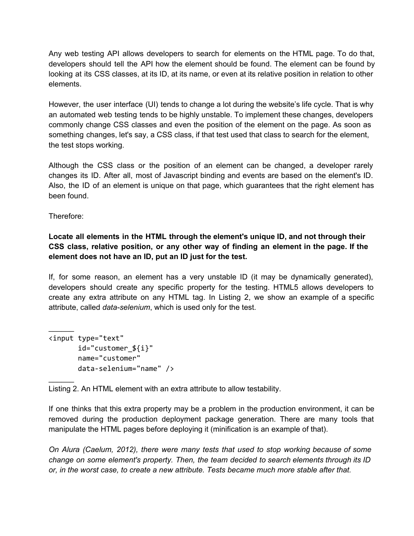Any web testing API allows developers to search for elements on the HTML page. To do that, developers should tell the API how the element should be found. The element can be found by looking at its CSS classes, at its ID, at its name, or even at its relative position in relation to other elements.

However, the user interface (UI) tends to change a lot during the website's life cycle. That is why an automated web testing tends to be highly unstable. To implement these changes, developers commonly change CSS classes and even the position of the element on the page. As soon as something changes, let's say, a CSS class, if that test used that class to search for the element, the test stops working.

Although the CSS class or the position of an element can be changed, a developer rarely changes its ID. After all, most of Javascript binding and events are based on the element's ID. Also, the ID of an element is unique on that page, which guarantees that the right element has been found.

Therefore:

 $\frac{1}{2}$ 

 $\frac{1}{2}$ 

**Locate all elements in the HTML through the element's unique ID, and not through their CSS class, relative position, or any other way of finding an element in the page. If the element does not have an ID, put an ID just for the test.**

If, for some reason, an element has a very unstable ID (it may be dynamically generated), developers should create any specific property for the testing. HTML5 allows developers to create any extra attribute on any HTML tag. In Listing 2, we show an example of a specific attribute, called *data-selenium*, which is used only for the test.

```
<input type="text"
       id="customer_${i}"
      name="customer"
      data-selenium="name"/>
```
Listing 2. An HTML element with an extra attribute to allow testability.

If one thinks that this extra property may be a problem in the production environment, it can be removed during the production deployment package generation. There are many tools that manipulate the HTML pages before deploying it (minification is an example of that).

*On Alura (Caelum, 2012), there were many tests that used to stop working because of some change on some element's property. Then, the team decided to search elements through its ID or, in the worst case, to create a new attribute. Tests became much more stable after that.*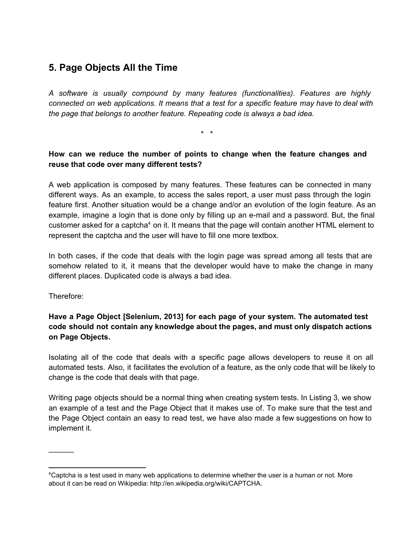# **5. Page Objects All the Time**

*A software is usually compound by many features (functionalities). Features are highly connected on web applications. It means that a test for a specific feature may have to deal with the page that belongs to another feature. Repeating code is always a bad idea.*

\* \*

#### **How can we reduce the number of points to change when the feature changes and reuse that code over many different tests?**

A web application is composed by many features. These features can be connected in many different ways. As an example, to access the sales report, a user must pass through the login feature first. Another situation would be a change and/or an evolution of the login feature. As an example, imagine a login that is done only by filling up an e-mail and a password. But, the final customer asked for a captcha<sup>4</sup> on it. It means that the page will contain another HTML element to represent the captcha and the user will have to fill one more textbox.

In both cases, if the code that deals with the login page was spread among all tests that are somehow related to it, it means that the developer would have to make the change in many different places. Duplicated code is always a bad idea.

Therefore:

 $\frac{1}{2}$ 

**Have a Page Object [Selenium, 2013] for each page of your system. The automated test code should not contain any knowledge about the pages, and must only dispatch actions on Page Objects.**

Isolating all of the code that deals with a specific page allows developers to reuse it on all automated tests. Also, it facilitates the evolution of a feature, as the only code that will be likely to change is the code that deals with that page.

Writing page objects should be a normal thing when creating system tests. In Listing 3, we show an example of a test and the Page Object that it makes use of. To make sure that the test and the Page Object contain an easy to read test, we have also made a few suggestions on how to implement it.

<sup>4</sup>Captcha is a test used in many web applications to determine whether the user is a human or not. More about it can be read on Wikipedia: http://en.wikipedia.org/wiki/CAPTCHA.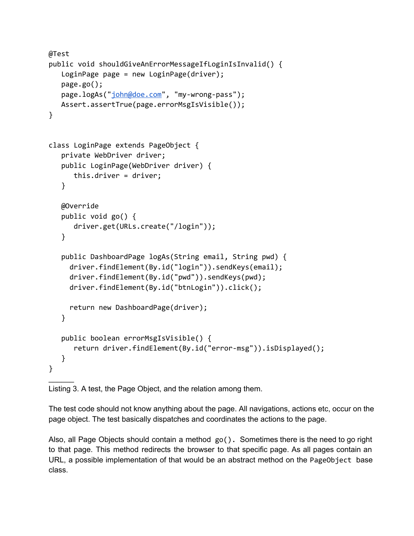```
@Test
public void shouldGiveAnErrorMessageIfLoginIsInvalid() {
   LoginPage page = new LoginPage(driver);
   page.go();
   "john@doe.com", "my-wrong-pass");
   Assert.assertTrue(page.errorMsgIsVisible());
}
class LoginPage extends PageObject {
   private WebDriver driver;
  public LoginPage(WebDriver driver) {
     this.driver = driver;
   }
   @Override
   public void go() \{driver.get(URLs.create("/login"));
   }
  public DashboardPage logAs(String email, String pwd) {
     driver.findElement(By.id("login")).sendKeys(email);
     driver.findElement(By.id("pwd")).sendKeys(pwd);
     driver.findElement(By.id("btnLogin")).click();
     return new DashboardPage(driver);
   }
   public boolean errorMsgIsVisible() {
      return driver.findElement(By.id("error-msg")).isDisplayed();
   }
}
\frac{1}{2}
```
Listing 3. A test, the Page Object, and the relation among them.

The test code should not know anything about the page. All navigations, actions etc, occur on the page object. The test basically dispatches and coordinates the actions to the page.

Also, all Page Objects should contain a method  $go()$ . Sometimes there is the need to go right to that page. This method redirects the browser to that specific page. As all pages contain an URL, a possible implementation of that would be an abstract method on the PageObject base class.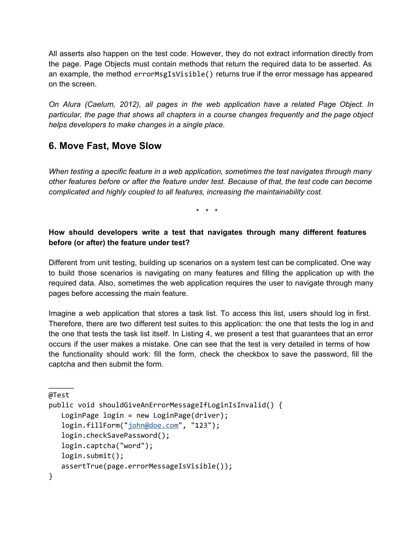All asserts also happen on the test code. However, they do not extract information directly from the page. Page Objects must contain methods that return the required data to be asserted. As an example, the method errorMsgIsVisible() returns true if the error message has appeared on the screen.

*On Alura (Caelum, 2012), all pages in the web application have a related Page Object. In particular, the page that shows all chapters in a course changes frequently and the page object helps developers to make changes in a single place.*

### **6. Move Fast, Move Slow**

*When testing a specific feature in a web application, sometimes the test navigates through many other features before or after the feature under test. Because of that, the test code can become complicated and highly coupled to all features, increasing the maintainability cost.*

\* \* \*

#### **How should developers write a test that navigates through many different features before (or after) the feature under test?**

Different from unit testing, building up scenarios on a system test can be complicated. One way to build those scenarios is navigating on many features and filling the application up with the required data. Also, sometimes the web application requires the user to navigate through many pages before accessing the main feature.

Imagine a web application that stores a task list. To access this list, users should log in first. Therefore, there are two different test suites to this application: the one that tests the log in and the one that tests the task list itself. In Listing 4, we present a test that guarantees that an error occurs if the user makes a mistake. One can see that the test is very detailed in terms of how the functionality should work: fill the form, check the checkbox to save the password, fill the captcha and then submit the form.

```
\frac{1}{2}@Test
```

```
public void shouldGiveAnErrorMessageIfLoginIsInvalid() {
  LoginPage login = new LoginPage(driver);
  "john@doe.com", "123");
  login.checkSavePassword();
  login.captcha("word");
  login.submit();
  assertTrue(page.errorMessageIsVisible());
}
```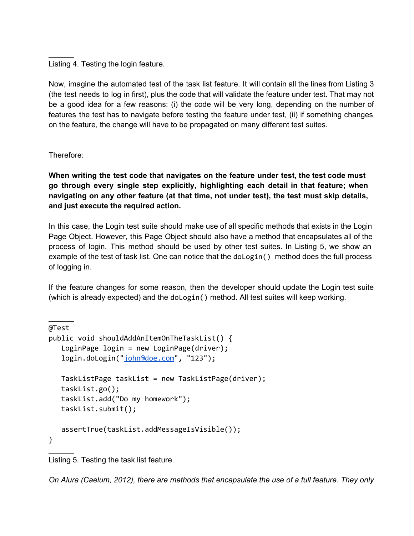Listing 4. Testing the login feature.

Now, imagine the automated test of the task list feature. It will contain all the lines from Listing 3 (the test needs to log in first), plus the code that will validate the feature under test. That may not be a good idea for a few reasons: (i) the code will be very long, depending on the number of features the test has to navigate before testing the feature under test, (ii) if something changes on the feature, the change will have to be propagated on many different test suites.

Therefore:

 $\frac{1}{2}$ 

 $\frac{1}{2}$ 

**When writing the test code that navigates on the feature under test, the test code must go through every single step explicitly, highlighting each detail in that feature; when navigating on any other feature (at that time, not under test), the test must skip details, and just execute the required action.**

In this case, the Login test suite should make use of all specific methods that exists in the Login Page Object. However, this Page Object should also have a method that encapsulates all of the process of login. This method should be used by other test suites. In Listing 5, we show an example of the test of task list. One can notice that the doLogin() method does the full process of logging in.

If the feature changes for some reason, then the developer should update the Login test suite (which is already expected) and the doLogin() method. All test suites will keep working.

```
@Test
public void shouldAddAnItemOnTheTaskList() {
  LoginPage login = new LoginPage(driver);
  "john@doe.com", "123");
  TaskListPage taskList = new TaskListPage(driver);
  taskList.go();
  taskList.add("Do my homework");
  taskList.submit();
  assertTrue(taskList.addMessageIsVisible());
}
\frac{1}{2}
```
Listing 5. Testing the task list feature.

*On Alura (Caelum, 2012), there are methods that encapsulate the use of a full feature. They only*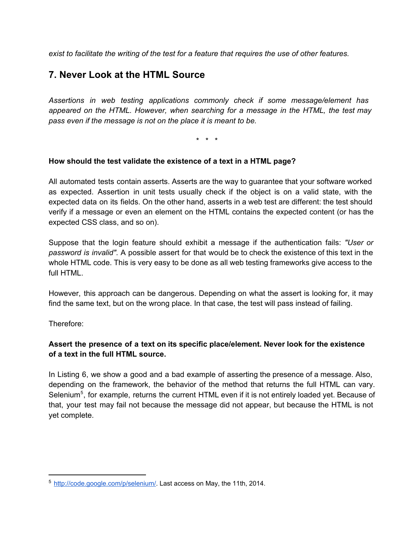*exist to facilitate the writing of the test for a feature that requires the use of other features.*

### **7. Never Look at the HTML Source**

*Assertions in web testing applications commonly check if some message/element has appeared on the HTML. However, when searching for a message in the HTML, the test may pass even if the message is not on the place it is meant to be.*

\* \* \*

#### **How should the test validate the existence of a text in a HTML page?**

All automated tests contain asserts. Asserts are the way to guarantee that your software worked as expected. Assertion in unit tests usually check if the object is on a valid state, with the expected data on its fields. On the other hand, asserts in a web test are different: the test should verify if a message or even an element on the HTML contains the expected content (or has the expected CSS class, and so on).

Suppose that the login feature should exhibit a message if the authentication fails: *"User or password is invalid"*. A possible assert for that would be to check the existence of this text in the whole HTML code. This is very easy to be done as all web testing frameworks give access to the full HTML.

However, this approach can be dangerous. Depending on what the assert is looking for, it may find the same text, but on the wrong place. In that case, the test will pass instead of failing.

Therefore:

#### **Assert the presence of a text on its specific place/element. Never look for the existence of a text in the full HTML source.**

In Listing 6, we show a good and a bad example of asserting the presence of a message. Also, depending on the framework, the behavior of the method that returns the full HTML can vary. Selenium<sup>5</sup>, for example, returns the current HTML even if it is not entirely loaded yet. Because of that, your test may fail not because the message did not appear, but because the HTML is not yet complete.

<sup>5</sup> [http://code.google.com/p/selenium/.](http://code.google.com/p/selenium/) Last access on May, the 11th, 2014.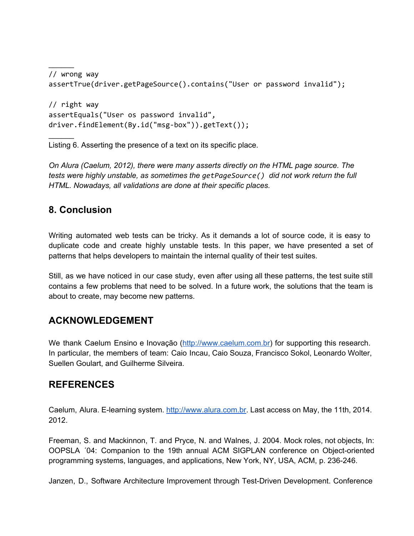```
// wrong way
assertTrue(driver.getPageSource().contains("User or password invalid");
// right way
assertEquals("User os password invalid",
driver.findElement(By.id("msg-box")).getText());
```
Listing 6. Asserting the presence of a text on its specific place.

*On Alura (Caelum, 2012), there were many asserts directly on the HTML page source. The tests were highly unstable, as sometimes the getPageSource()did not work return the full HTML. Nowadays, all validations are done at their specific places.*

# **8. Conclusion**

 $\frac{1}{2}$ 

 $\frac{1}{2}$ 

Writing automated web tests can be tricky. As it demands a lot of source code, it is easy to duplicate code and create highly unstable tests. In this paper, we have presented a set of patterns that helps developers to maintain the internal quality of their test suites.

Still, as we have noticed in our case study, even after using all these patterns, the test suite still contains a few problems that need to be solved. In a future work, the solutions that the team is about to create, may become new patterns.

# **ACKNOWLEDGEMENT**

We thank Caelum Ensino e Inovação [\(http://www.caelum.com.br\)](http://www.google.com/url?q=http%3A%2F%2Fwww.caelum.com.br&sa=D&sntz=1&usg=AFQjCNHt4Qy4DA72HmJe7hw8WFU7E88vVA) for supporting this research. In particular, the members of team: Caio Incau, Caio Souza, Francisco Sokol, Leonardo Wolter, Suellen Goulart, and Guilherme Silveira.

### **REFERENCES**

Caelum, Alura. E-learning system. [http://www.alura.com.br](http://www.google.com/url?q=http%3A%2F%2Fwww.alura.com.br&sa=D&sntz=1&usg=AFQjCNGMVo8aSOR3Yyshgtau-bGz8h77Xg). Last access on May, the 11th, 2014. 2012.

Freeman, S. and Mackinnon, T. and Pryce, N. and Walnes, J. 2004. Mock roles, not objects, In: OOPSLA '04: Companion to the 19th annual ACM SIGPLAN conference on Object-oriented programming systems, languages, and applications, New York, NY, USA, ACM, p. 236-246.

Janzen, D., Software Architecture Improvement through Test-Driven Development. Conference